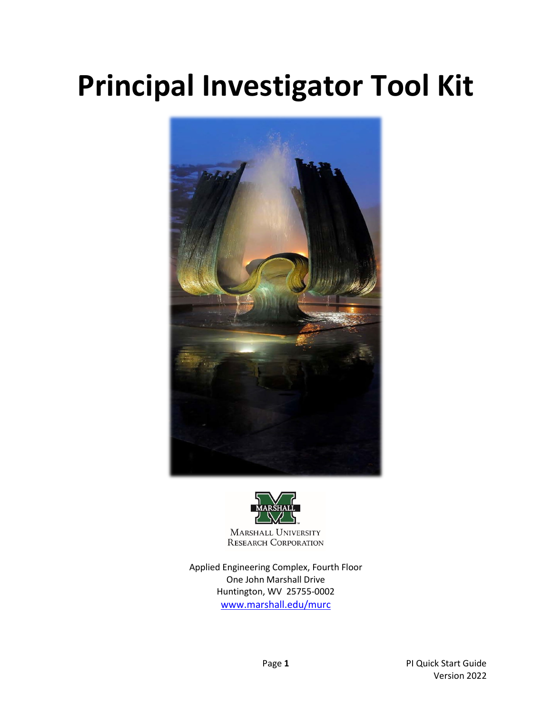# **Principal Investigator Tool Kit**





**MARSHALL UNIVERSITY RESEARCH CORPORATION** 

Applied Engineering Complex, Fourth Floor One John Marshall Drive Huntington, WV 25755-0002 [www.marshall.edu/murc](http://www.marshall.edu/murc)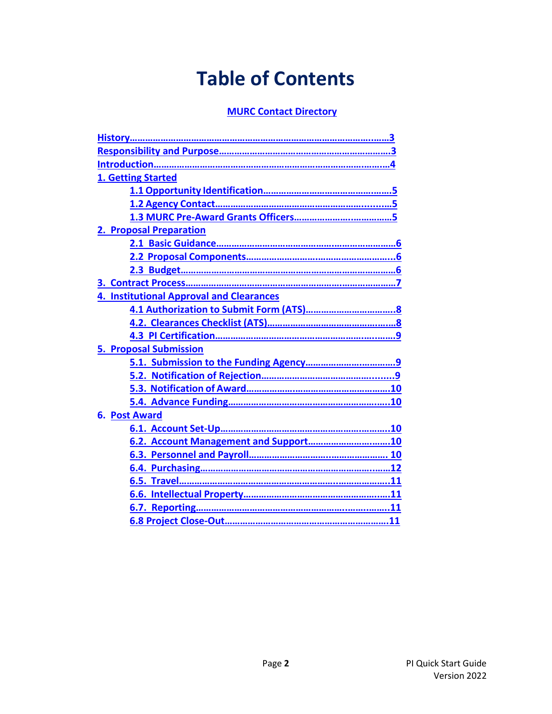# **Table of Contents**

### **[MURC Contact Directory](https://www.marshall.edu/murc/staff/)**

| 1. Getting Started                              |
|-------------------------------------------------|
|                                                 |
|                                                 |
|                                                 |
| 2. Proposal Preparation                         |
|                                                 |
|                                                 |
|                                                 |
|                                                 |
| <b>4. Institutional Approval and Clearances</b> |
|                                                 |
|                                                 |
|                                                 |
| <b>5. Proposal Submission</b>                   |
|                                                 |
|                                                 |
|                                                 |
|                                                 |
| <b>6. Post Award</b>                            |
|                                                 |
| 6.2. Account Management and Support10           |
|                                                 |
|                                                 |
|                                                 |
|                                                 |
|                                                 |
|                                                 |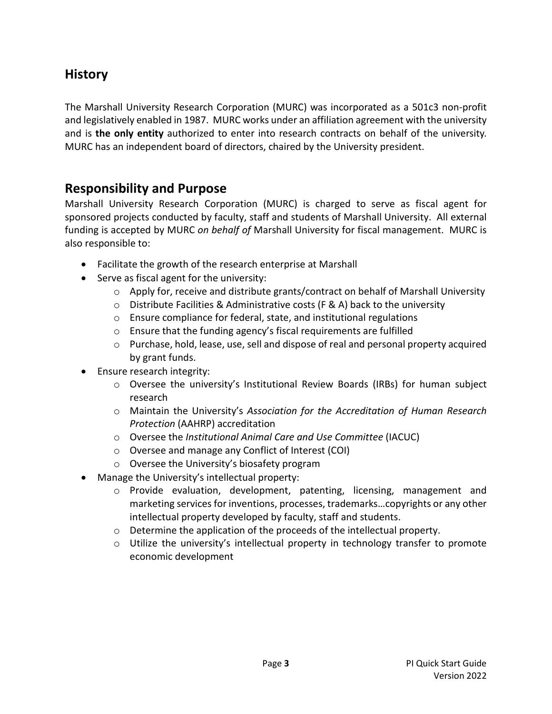### <span id="page-2-0"></span>**History**

The Marshall University Research Corporation (MURC) was incorporated as a 501c3 non-profit and legislatively enabled in 1987. MURC works under an affiliation agreement with the university and is **the only entity** authorized to enter into research contracts on behalf of the university. MURC has an independent board of directors, chaired by the University president.

### <span id="page-2-1"></span>**Responsibility and Purpose**

Marshall University Research Corporation (MURC) is charged to serve as fiscal agent for sponsored projects conducted by faculty, staff and students of Marshall University. All external funding is accepted by MURC *on behalf of* Marshall University for fiscal management. MURC is also responsible to:

- Facilitate the growth of the research enterprise at Marshall
- Serve as fiscal agent for the university:
	- $\circ$  Apply for, receive and distribute grants/contract on behalf of Marshall University
	- o Distribute Facilities & Administrative costs (F & A) back to the university
	- o Ensure compliance for federal, state, and institutional regulations
	- o Ensure that the funding agency's fiscal requirements are fulfilled
	- $\circ$  Purchase, hold, lease, use, sell and dispose of real and personal property acquired by grant funds.
- Ensure research integrity:
	- o Oversee the university's Institutional Review Boards (IRBs) for human subject research
	- o Maintain the University's *Association for the Accreditation of Human Research Protection* (AAHRP) accreditation
	- o Oversee the *Institutional Animal Care and Use Committee* (IACUC)
	- o Oversee and manage any Conflict of Interest (COI)
	- o Oversee the University's biosafety program
- Manage the University's intellectual property:
	- o Provide evaluation, development, patenting, licensing, management and marketing services for inventions, processes, trademarks…copyrights or any other intellectual property developed by faculty, staff and students.
	- o Determine the application of the proceeds of the intellectual property.
	- o Utilize the university's intellectual property in technology transfer to promote economic development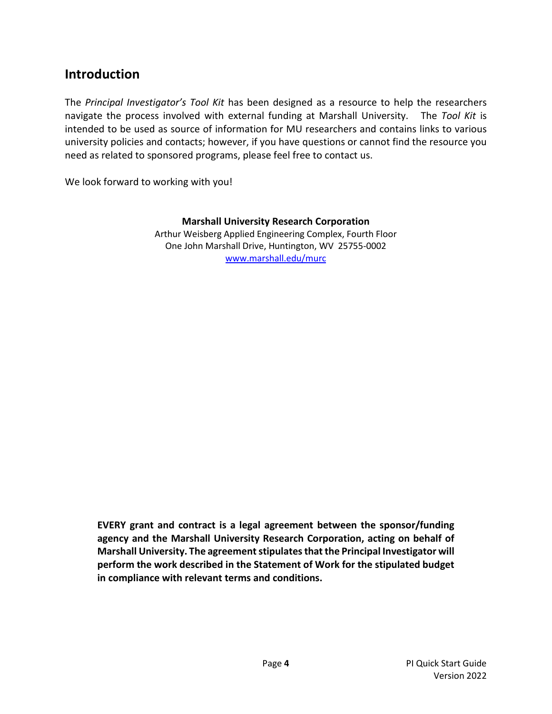### <span id="page-3-0"></span>**Introduction**

The *Principal Investigator's Tool Kit* has been designed as a resource to help the researchers navigate the process involved with external funding at Marshall University. The *Tool Kit* is intended to be used as source of information for MU researchers and contains links to various university policies and contacts; however, if you have questions or cannot find the resource you need as related to sponsored programs, please feel free to contact us.

We look forward to working with you!

#### **Marshall University Research Corporation**

Arthur Weisberg Applied Engineering Complex, Fourth Floor One John Marshall Drive, Huntington, WV 25755-0002 [www.marshall.edu/murc](http://www.marshall.edu/murc) 

**EVERY grant and contract is a legal agreement between the sponsor/funding agency and the Marshall University Research Corporation, acting on behalf of Marshall University. The agreement stipulates that the Principal Investigator will perform the work described in the Statement of Work for the stipulated budget in compliance with relevant terms and conditions.**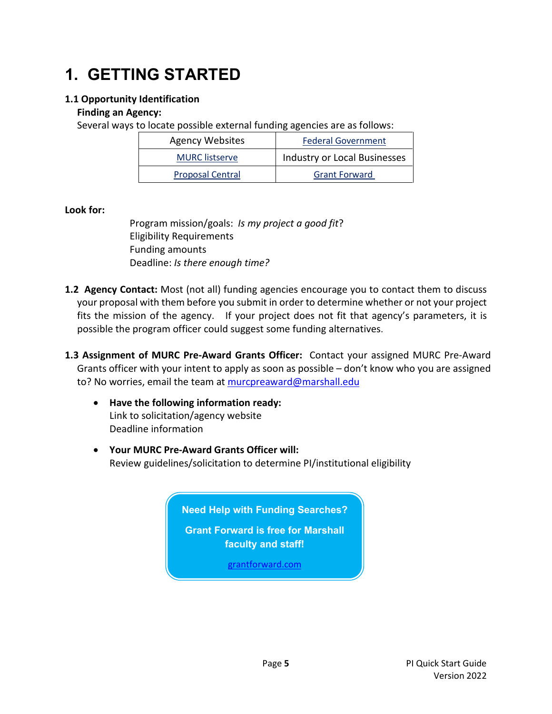# **1. GETTING STARTED**

### <span id="page-4-0"></span>**1.1 Opportunity Identification**

#### **Finding an Agency:**

Several ways to locate possible external funding agencies are as follows:

| <b>Agency Websites</b>  | <b>Federal Government</b>    |
|-------------------------|------------------------------|
| <b>MURC</b> listserve   | Industry or Local Businesses |
| <b>Proposal Central</b> | <b>Grant Forward</b>         |

#### **Look for:**

Program mission/goals: *Is my project a good fit*? Eligibility Requirements Funding amounts Deadline: *Is there enough time?*

- <span id="page-4-1"></span>**1.2 Agency Contact:** Most (not all) funding agencies encourage you to contact them to discuss your proposal with them before you submit in order to determine whether or not your project fits the mission of the agency. If your project does not fit that agency's parameters, it is possible the program officer could suggest some funding alternatives.
- <span id="page-4-2"></span>**1.3 Assignment of MURC Pre-Award Grants Officer:** Contact your assigned MURC Pre-Award Grants officer with your intent to apply as soon as possible – don't know who you are assigned to? No worries, email the team at [murcpreaward@marshall.edu](mailto:murcpreaward@marshall.edu)
	- **Have the following information ready:** Link to solicitation/agency website Deadline information
	- **Your MURC Pre-Award Grants Officer will:** Review guidelines/solicitation to determine PI/institutional eligibility

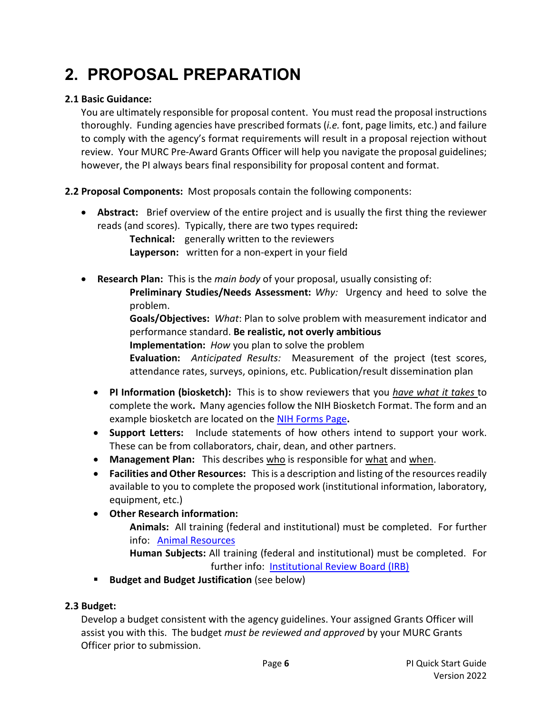# **2. PROPOSAL PREPARATION**

### <span id="page-5-0"></span>**2.1 Basic Guidance:**

You are ultimately responsible for proposal content. You must read the proposal instructions thoroughly. Funding agencies have prescribed formats (*i.e.* font, page limits, etc.) and failure to comply with the agency's format requirements will result in a proposal rejection without review. Your MURC Pre-Award Grants Officer will help you navigate the proposal guidelines; however, the PI always bears final responsibility for proposal content and format.

<span id="page-5-1"></span>**2.2 Proposal Components:** Most proposals contain the following components:

• **Abstract:** Brief overview of the entire project and is usually the first thing the reviewer reads (and scores). Typically, there are two types required**:**

**Technical:** generally written to the reviewers **Layperson:** written for a non-expert in your field

• **Research Plan:** This is the *main body* of your proposal, usually consisting of: **Preliminary Studies/Needs Assessment:** *Why:* Urgency and heed to solve the problem.

> **Goals/Objectives:** *What*: Plan to solve problem with measurement indicator and performance standard. **Be realistic, not overly ambitious**

**Implementation:** *How* you plan to solve the problem

**Evaluation:** *Anticipated Results:* Measurement of the project (test scores, attendance rates, surveys, opinions, etc. Publication/result dissemination plan

- **PI Information (biosketch):** This is to show reviewers that you *have what it takes* to complete the work**.** Many agencies follow the NIH Biosketch Format. The form and an example biosketch are located on the [NIH Forms Page](http://grants.nih.gov/grants/funding/424/index.htm#format)**.**
- **Support Letters:** Include statements of how others intend to support your work. These can be from collaborators, chair, dean, and other partners.
- Management Plan: This describes who is responsible for what and when.
- **Facilities and Other Resources:** This is a description and listing of the resources readily available to you to complete the proposed work (institutional information, laboratory, equipment, etc.)
- **Other Research information:**

**Animals:** All training (federal and institutional) must be completed. For further info: [Animal Resources](https://jcesom.marshall.edu/research/office-of-research-and-graduate-education/core-facilities/animal-resources/) 

**Human Subjects:** All training (federal and institutional) must be completed. For further info: [Institutional Review Board \(IRB\)](http://www.marshall.edu/research/ori)

**Budget and Budget Justification** (see below)

### <span id="page-5-2"></span>**2.3 Budget:**

Develop a budget consistent with the agency guidelines. Your assigned Grants Officer will assist you with this. The budget *must be reviewed and approved* by your MURC Grants Officer prior to submission.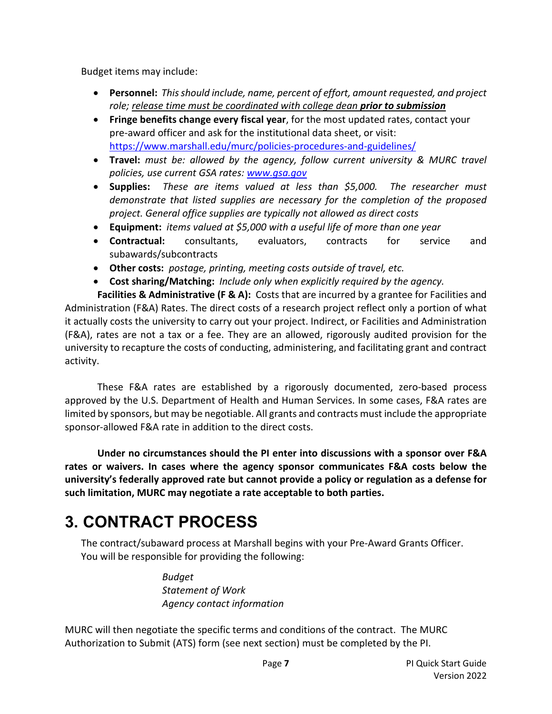Budget items may include:

- **Personnel:** *This should include, name, percent of effort, amount requested, and project role; release time must be coordinated with college dean prior to submission*
- **Fringe benefits change every fiscal year**, for the most updated rates, contact your pre-award officer and ask for the institutional data sheet, or visit: <https://www.marshall.edu/murc/policies-procedures-and-guidelines/>
- **Travel:** *must be: allowed by the agency, follow current university & MURC travel policies, use current GSA rates: [www.gsa.gov](http://www.gsa.gov/)*
- **Supplies:** *These are items valued at less than \$5,000. The researcher must demonstrate that listed supplies are necessary for the completion of the proposed project. General office supplies are typically not allowed as direct costs*
- **Equipment:** *items valued at \$5,000 with a useful life of more than one year*
- **Contractual:** consultants, evaluators, contracts for service and subawards/subcontracts
- **Other costs:** *postage, printing, meeting costs outside of travel, etc.*
- <span id="page-6-0"></span>• **Cost sharing/Matching:** *Include only when explicitly required by the agency.*

**Facilities & Administrative (F & A):** Costs that are incurred by a grantee for Facilities and Administration (F&A) Rates. The direct costs of a research project reflect only a portion of what it actually costs the university to carry out your project. Indirect, or Facilities and Administration (F&A), rates are not a tax or a fee. They are an allowed, rigorously audited provision for the university to recapture the costs of conducting, administering, and facilitating grant and contract activity.

These F&A rates are established by a rigorously documented, zero-based process approved by the U.S. Department of Health and Human Services. In some cases, F&A rates are limited by sponsors, but may be negotiable. All grants and contracts must include the appropriate sponsor-allowed F&A rate in addition to the direct costs.

**Under no circumstances should the PI enter into discussions with a sponsor over F&A rates or waivers. In cases where the agency sponsor communicates F&A costs below the university's federally approved rate but cannot provide a policy or regulation as a defense for such limitation, MURC may negotiate a rate acceptable to both parties.** 

### **3. CONTRACT PROCESS**

The contract/subaward process at Marshall begins with your Pre-Award Grants Officer. You will be responsible for providing the following:

> *Budget Statement of Work Agency contact information*

MURC will then negotiate the specific terms and conditions of the contract. The MURC Authorization to Submit (ATS) form (see next section) must be completed by the PI.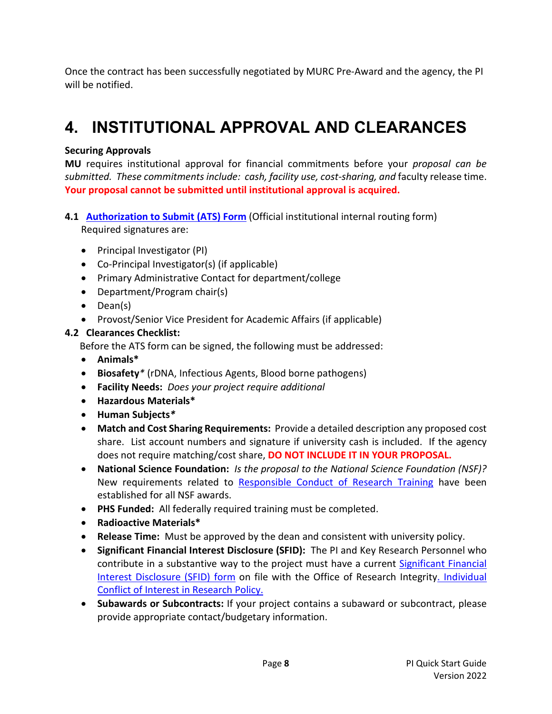Once the contract has been successfully negotiated by MURC Pre-Award and the agency, the PI will be notified.

### **4. INSTITUTIONAL APPROVAL AND CLEARANCES**

### **Securing Approvals**

**MU** requires institutional approval for financial commitments before your *proposal can be submitted. These commitments include: cash, facility use, cost-sharing, and* faculty release time. **Your proposal cannot be submitted until institutional approval is acquired.**

- <span id="page-7-0"></span>**4.1 [Authorization to Submit](http://www.marshall.edu/murc/files/Authorization_To_Submit.pdf) (ATS) Form** (Official institutional internal routing form) Required signatures are:
	- Principal Investigator (PI)
	- Co-Principal Investigator(s) (if applicable)
	- Primary Administrative Contact for department/college
	- Department/Program chair(s)
	- Dean(s)
	- Provost/Senior Vice President for Academic Affairs (if applicable)

### <span id="page-7-1"></span>**4.2 Clearances Checklist:**

Before the ATS form can be signed, the following must be addressed:

- **Animals\***
- **Biosafety***\** (rDNA, Infectious Agents, Blood borne pathogens)
- **Facility Needs:** *Does your project require additional*
- **Hazardous Materials\***
- **Human Subjects***\**
- **Match and Cost Sharing Requirements:** Provide a detailed description any proposed cost share. List account numbers and signature if university cash is included. If the agency does not require matching/cost share, **DO NOT INCLUDE IT IN YOUR PROPOSAL.**
- **National Science Foundation:** *Is the proposal to the National Science Foundation (NSF)?* New requirements related to [Responsible Conduct of Research Training](http://www.marshall.edu/murc/files/2013/07/Responsible-Conduct-of-Research-Training-Policy-MURC-003.pdf) have been established for all NSF awards.
- **PHS Funded:** All federally required training must be completed.
- **Radioactive Materials\***
- **Release Time:** Must be approved by the dean and consistent with university policy.
- **Significant Financial Interest Disclosure (SFID):**The PI and Key Research Personnel who contribute in a substantive way to the project must have a current [Significant Financial](http://www.marshall.edu/ori/files/SFID-Template.docx)  [Interest Disclosure \(SFID\) form](http://www.marshall.edu/ori/files/SFID-Template.docx) on file with the Office of Research Integrit[y. Individual](http://www.marshall.edu/ori/research-integrity/)  [Conflict of Interest in Research Policy.](http://www.marshall.edu/ori/research-integrity/)
- **Subawards or Subcontracts:** If your project contains a subaward or subcontract, please provide appropriate contact/budgetary information.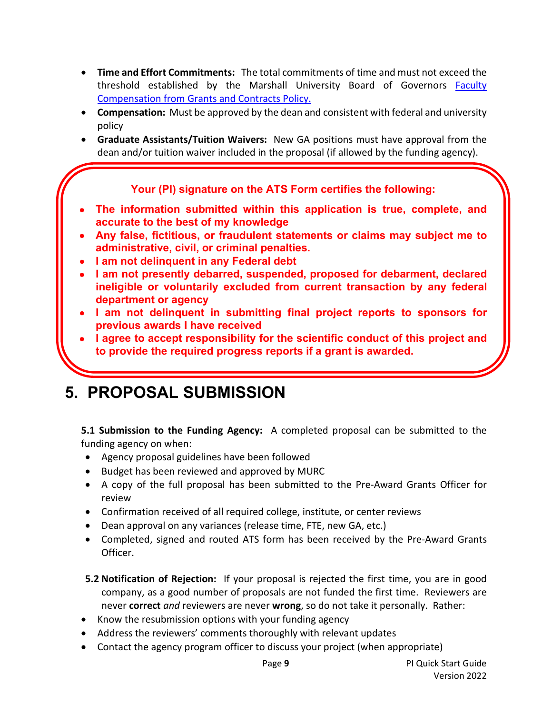- **Time and Effort Commitments:**The total commitments of time and must not exceed the threshold established by the Marshall University Board of Governors [Faculty](http://www.marshall.edu/board/files/Policies/MUBOG%20AA-40%20Compensation%20from%20Grants%20and%20Contracts.pdf)  [Compensation from Grants and Contracts Policy.](http://www.marshall.edu/board/files/Policies/MUBOG%20AA-40%20Compensation%20from%20Grants%20and%20Contracts.pdf)
- **Compensation:** Must be approved by the dean and consistent with federal and university policy
- **Graduate Assistants/Tuition Waivers:** New GA positions must have approval from the dean and/or tuition waiver included in the proposal (if allowed by the funding agency).

### **Your (PI) signature on the ATS Form certifies the following:**

- <span id="page-8-0"></span>• **The information submitted within this application is true, complete, and accurate to the best of my knowledge**
- **Any false, fictitious, or fraudulent statements or claims may subject me to administrative, civil, or criminal penalties.**
- **I am not delinquent in any Federal debt**
- **I am not presently debarred, suspended, proposed for debarment, declared ineligible or voluntarily excluded from current transaction by any federal department or agency**
- **I am not delinquent in submitting final project reports to sponsors for previous awards I have received**
- **I agree to accept responsibility for the scientific conduct of this project and to provide the required progress reports if a grant is awarded.**

#### **5. PROPOSAL SUBMISSION**

<span id="page-8-1"></span>**5.1 Submission to the Funding Agency:** A completed proposal can be submitted to the funding agency on when:

- Agency proposal guidelines have been followed
- Budget has been reviewed and approved by MURC
- A copy of the full proposal has been submitted to the Pre-Award Grants Officer for review
- Confirmation received of all required college, institute, or center reviews
- Dean approval on any variances (release time, FTE, new GA, etc.)
- Completed, signed and routed ATS form has been received by the Pre-Award Grants Officer.
- <span id="page-8-2"></span>**5.2 Notification of Rejection:** If your proposal is rejected the first time, you are in good company, as a good number of proposals are not funded the first time. Reviewers are never **correct** *and* reviewers are never **wrong**, so do not take it personally. Rather:
- Know the resubmission options with your funding agency
- Address the reviewers' comments thoroughly with relevant updates
- Contact the agency program officer to discuss your project (when appropriate)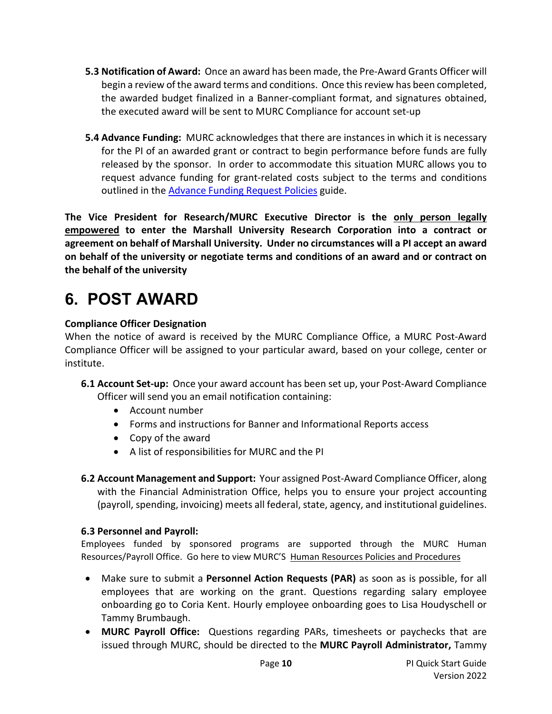- <span id="page-9-0"></span>**5.3 Notification of Award:** Once an award has been made, the Pre-Award Grants Officer will begin a review of the award terms and conditions. Once this review has been completed, the awarded budget finalized in a Banner-compliant format, and signatures obtained, the executed award will be sent to MURC Compliance for account set-up
- <span id="page-9-1"></span>**5.4 Advance Funding:** MURC acknowledges that there are instances in which it is necessary for the PI of an awarded grant or contract to begin performance before funds are fully released by the sponsor. In order to accommodate this situation MURC allows you to request advance funding for grant-related costs subject to the terms and conditions outlined in the **Advance Funding Request Policies** guide.

**The Vice President for Research/MURC Executive Director is the only person legally empowered to enter the Marshall University Research Corporation into a contract or agreement on behalf of Marshall University. Under no circumstances will a PI accept an award on behalf of the university or negotiate terms and conditions of an award and or contract on the behalf of the university**

# <span id="page-9-2"></span>**6. POST AWARD**

### **Compliance Officer Designation**

When the notice of award is received by the MURC Compliance Office, a MURC Post-Award Compliance Officer will be assigned to your particular award, based on your college, center or institute.

- <span id="page-9-3"></span>**6.1 Account Set-up:** Once your award account has been set up, your Post-Award Compliance Officer will send you an email notification containing:
	- Account number
	- Forms and instructions for Banner and Informational Reports access
	- Copy of the award
	- A list of responsibilities for MURC and the PI
- <span id="page-9-4"></span>**6.2 Account Management and Support:** Your assigned Post-Award Compliance Officer, along with the Financial Administration Office, helps you to ensure your project accounting (payroll, spending, invoicing) meets all federal, state, agency, and institutional guidelines.

### <span id="page-9-5"></span>**6.3 Personnel and Payroll:**

Employees funded by sponsored programs are supported through the MURC Human Resources/Payroll Office. Go here to view MURC'S [Human Resources Policies and Procedures](http://www.marshall.edu/murc/policies-procedures-and-guidelines/)

- Make sure to submit a **Personnel Action Requests (PAR)** as soon as is possible, for all employees that are working on the grant. Questions regarding salary employee onboarding go to Coria Kent. Hourly employee onboarding goes to Lisa Houdyschell or Tammy Brumbaugh.
- **MURC Payroll Office:** Questions regarding PARs, timesheets or paychecks that are issued through MURC, should be directed to the **MURC Payroll Administrator,** Tammy